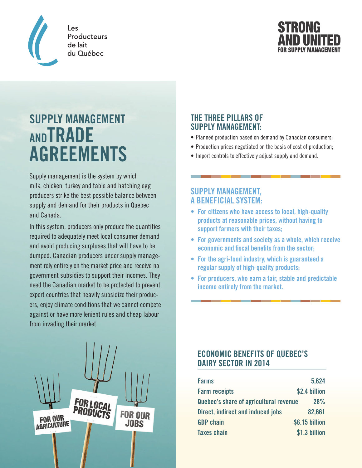

Les Producteurs de lait du Québec



# **SUPPLY MANAGEMENT ANDTRADE AGREEMENTS**

Supply management is the system by which milk, chicken, turkey and table and hatching egg producers strike the best possible balance between supply and demand for their products in Quebec and Canada.

In this system, producers only produce the quantities required to adequately meet local consumer demand and avoid producing surpluses that will have to be dumped. Canadian producers under supply management rely entirely on the market price and receive no government subsidies to support their incomes. They need the Canadian market to be protected to prevent export countries that heavily subsidize their producers, enjoy climate conditions that we cannot compete against or have more lenient rules and cheap labour from invading their market.



## **THE THREE PILLARS OF SUPPLY MANAGEMENT:**

- Planned production based on demand by Canadian consumers;
- Production prices negotiated on the basis of cost of production;
- Import controls to effectively adjust supply and demand.

## **SUPPLY MANAGEMENT, A BENEFICIAL SYSTEM:**

- **• For citizens who have access to local, high-quality products at reasonable prices, without having to support farmers with their taxes;**
- **• For governments and society as a whole, which receive economic and fiscal benefits from the sector;**
- **• For the agri-food industry, which is guaranteed a regular supply of high-quality products;**
- **• For producers, who earn a fair, stable and predictable income entirely from the market.**

# **ECONOMIC BENEFITS OF QUEBEC'S DAIRY SECTOR IN 2014**

| <b>Farms</b>                             | 5,624          |
|------------------------------------------|----------------|
| <b>Farm receipts</b>                     | \$2.4 billion  |
| Quebec's share of agricultural revenue   | 28%            |
| <b>Direct, indirect and induced jobs</b> | 82,661         |
| <b>GDP</b> chain                         | \$6.15 billion |
| <b>Taxes chain</b>                       | \$1.3 billion  |